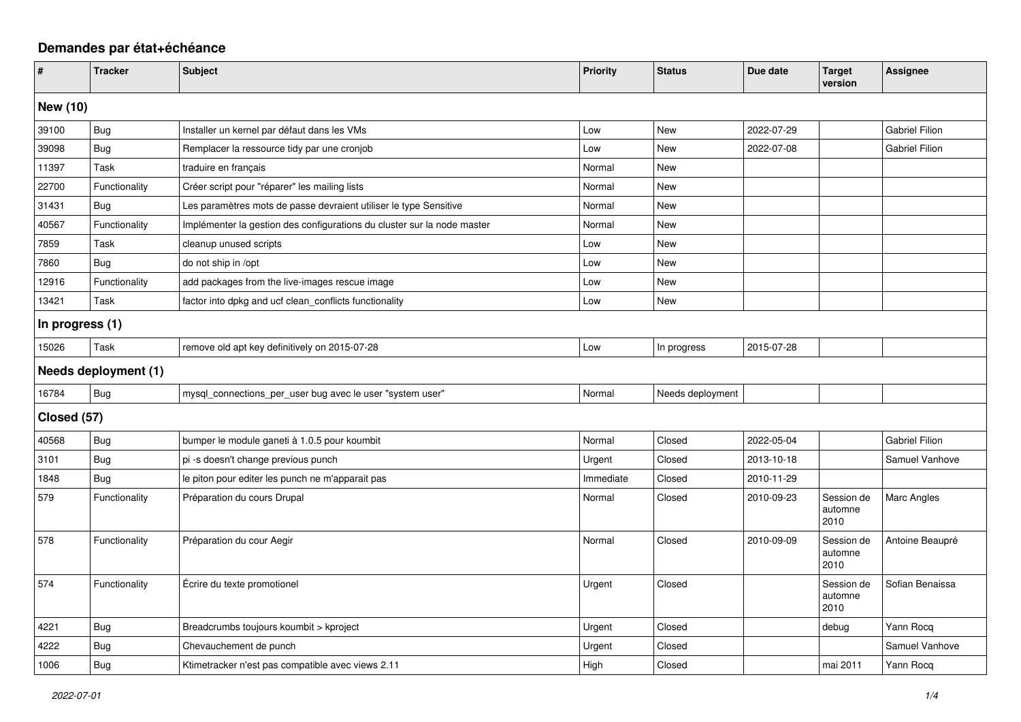## **Demandes par état+échéance**

| $\sharp$             | <b>Tracker</b> | <b>Subject</b>                                                          | <b>Priority</b> | <b>Status</b>    | Due date   | <b>Target</b><br>version      | <b>Assignee</b>       |  |
|----------------------|----------------|-------------------------------------------------------------------------|-----------------|------------------|------------|-------------------------------|-----------------------|--|
| New (10)             |                |                                                                         |                 |                  |            |                               |                       |  |
| 39100                | <b>Bug</b>     | Installer un kernel par défaut dans les VMs                             | Low             | New              | 2022-07-29 |                               | <b>Gabriel Filion</b> |  |
| 39098                | <b>Bug</b>     | Remplacer la ressource tidy par une cronjob                             | Low             | <b>New</b>       | 2022-07-08 |                               | <b>Gabriel Filion</b> |  |
| 11397                | Task           | traduire en français                                                    | Normal          | New              |            |                               |                       |  |
| 22700                | Functionality  | Créer script pour "réparer" les mailing lists                           | Normal          | <b>New</b>       |            |                               |                       |  |
| 31431                | <b>Bug</b>     | Les paramètres mots de passe devraient utiliser le type Sensitive       | Normal          | <b>New</b>       |            |                               |                       |  |
| 40567                | Functionality  | Implémenter la gestion des configurations du cluster sur la node master | Normal          | New              |            |                               |                       |  |
| 7859                 | Task           | cleanup unused scripts                                                  | Low             | <b>New</b>       |            |                               |                       |  |
| 7860                 | Bug            | do not ship in /opt                                                     | Low             | <b>New</b>       |            |                               |                       |  |
| 12916                | Functionality  | add packages from the live-images rescue image                          | Low             | New              |            |                               |                       |  |
| 13421                | Task           | factor into dpkg and ucf clean_conflicts functionality                  | Low             | New              |            |                               |                       |  |
| In progress (1)      |                |                                                                         |                 |                  |            |                               |                       |  |
| 15026                | Task           | remove old apt key definitively on 2015-07-28                           | Low             | In progress      | 2015-07-28 |                               |                       |  |
| Needs deployment (1) |                |                                                                         |                 |                  |            |                               |                       |  |
| 16784                | Bug            | mysql_connections_per_user bug avec le user "system user"               | Normal          | Needs deployment |            |                               |                       |  |
| Closed (57)          |                |                                                                         |                 |                  |            |                               |                       |  |
| 40568                | <b>Bug</b>     | bumper le module ganeti à 1.0.5 pour koumbit                            | Normal          | Closed           | 2022-05-04 |                               | <b>Gabriel Filion</b> |  |
| 3101                 | <b>Bug</b>     | pi -s doesn't change previous punch                                     | Urgent          | Closed           | 2013-10-18 |                               | Samuel Vanhove        |  |
| 1848                 | Bug            | le piton pour editer les punch ne m'apparait pas                        | Immediate       | Closed           | 2010-11-29 |                               |                       |  |
| 579                  | Functionality  | Préparation du cours Drupal                                             | Normal          | Closed           | 2010-09-23 | Session de<br>automne<br>2010 | Marc Angles           |  |
| 578                  | Functionality  | Préparation du cour Aegir                                               | Normal          | Closed           | 2010-09-09 | Session de<br>automne<br>2010 | Antoine Beaupré       |  |
| 574                  | Functionality  | Écrire du texte promotionel                                             | Urgent          | Closed           |            | Session de<br>automne<br>2010 | Sofian Benaissa       |  |
| 4221                 | <b>Bug</b>     | Breadcrumbs toujours koumbit > kproject                                 | Urgent          | Closed           |            | debug                         | Yann Rocq             |  |
| 4222                 | Bug            | Chevauchement de punch                                                  | Urgent          | Closed           |            |                               | Samuel Vanhove        |  |
| 1006                 | <b>Bug</b>     | Ktimetracker n'est pas compatible avec views 2.11                       | High            | Closed           |            | mai 2011                      | Yann Rocq             |  |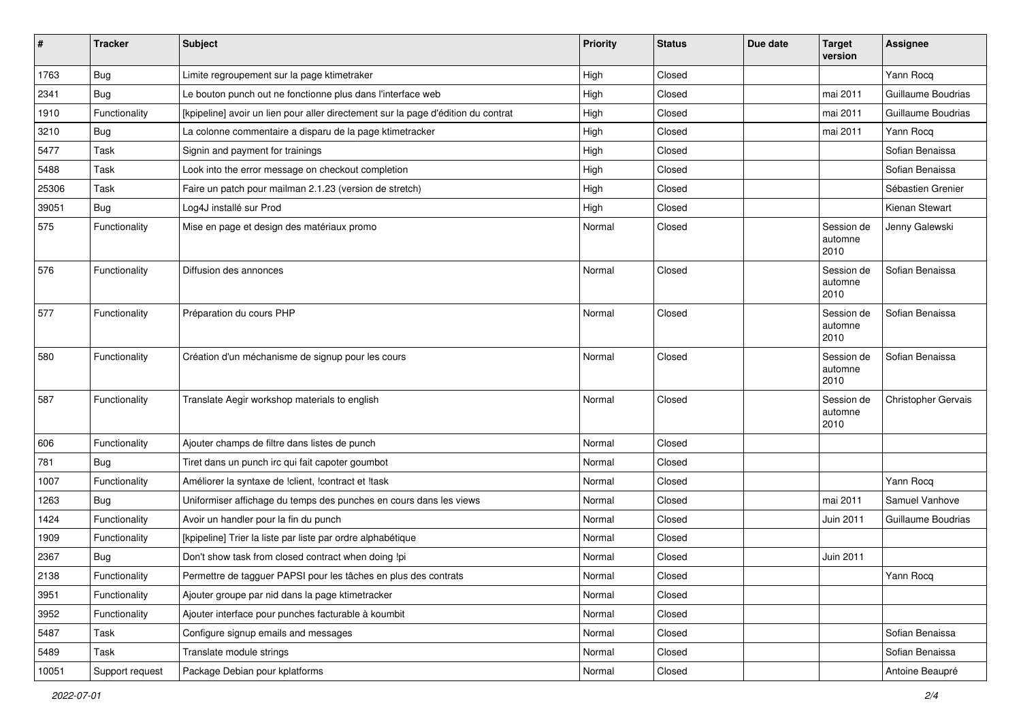| $\sharp$ | <b>Tracker</b>  | Subject                                                                           | <b>Priority</b> | <b>Status</b> | Due date | <b>Target</b><br>version      | <b>Assignee</b>            |
|----------|-----------------|-----------------------------------------------------------------------------------|-----------------|---------------|----------|-------------------------------|----------------------------|
| 1763     | Bug             | Limite regroupement sur la page ktimetraker                                       | High            | Closed        |          |                               | Yann Rocq                  |
| 2341     | Bug             | Le bouton punch out ne fonctionne plus dans l'interface web                       | High            | Closed        |          | mai 2011                      | Guillaume Boudrias         |
| 1910     | Functionality   | [kpipeline] avoir un lien pour aller directement sur la page d'édition du contrat | High            | Closed        |          | mai 2011                      | Guillaume Boudrias         |
| 3210     | Bug             | La colonne commentaire a disparu de la page ktimetracker                          | High            | Closed        |          | mai 2011                      | Yann Rocq                  |
| 5477     | Task            | Signin and payment for trainings                                                  | High            | Closed        |          |                               | Sofian Benaissa            |
| 5488     | Task            | Look into the error message on checkout completion                                | High            | Closed        |          |                               | Sofian Benaissa            |
| 25306    | Task            | Faire un patch pour mailman 2.1.23 (version de stretch)                           | High            | Closed        |          |                               | Sébastien Grenier          |
| 39051    | Bug             | Log4J installé sur Prod                                                           | High            | Closed        |          |                               | <b>Kienan Stewart</b>      |
| 575      | Functionality   | Mise en page et design des matériaux promo                                        | Normal          | Closed        |          | Session de<br>automne<br>2010 | Jenny Galewski             |
| 576      | Functionality   | Diffusion des annonces                                                            | Normal          | Closed        |          | Session de<br>automne<br>2010 | Sofian Benaissa            |
| 577      | Functionality   | Préparation du cours PHP                                                          | Normal          | Closed        |          | Session de<br>automne<br>2010 | Sofian Benaissa            |
| 580      | Functionality   | Création d'un méchanisme de signup pour les cours                                 | Normal          | Closed        |          | Session de<br>automne<br>2010 | Sofian Benaissa            |
| 587      | Functionality   | Translate Aegir workshop materials to english                                     | Normal          | Closed        |          | Session de<br>automne<br>2010 | <b>Christopher Gervais</b> |
| 606      | Functionality   | Ajouter champs de filtre dans listes de punch                                     | Normal          | Closed        |          |                               |                            |
| 781      | Bug             | Tiret dans un punch irc qui fait capoter goumbot                                  | Normal          | Closed        |          |                               |                            |
| 1007     | Functionality   | Améliorer la syntaxe de !client, !contract et !task                               | Normal          | Closed        |          |                               | Yann Rocq                  |
| 1263     | Bug             | Uniformiser affichage du temps des punches en cours dans les views                | Normal          | Closed        |          | mai 2011                      | Samuel Vanhove             |
| 1424     | Functionality   | Avoir un handler pour la fin du punch                                             | Normal          | Closed        |          | Juin 2011                     | Guillaume Boudrias         |
| 1909     | Functionality   | [kpipeline] Trier la liste par liste par ordre alphabétique                       | Normal          | Closed        |          |                               |                            |
| 2367     | <b>Bug</b>      | Don't show task from closed contract when doing !pi                               | Normal          | Closed        |          | Juin 2011                     |                            |
| 2138     | Functionality   | Permettre de tagguer PAPSI pour les tâches en plus des contrats                   | Normal          | Closed        |          |                               | Yann Rocq                  |
| 3951     | Functionality   | Ajouter groupe par nid dans la page ktimetracker                                  | Normal          | Closed        |          |                               |                            |
| 3952     | Functionality   | Ajouter interface pour punches facturable à koumbit                               | Normal          | Closed        |          |                               |                            |
| 5487     | Task            | Configure signup emails and messages                                              | Normal          | Closed        |          |                               | Sofian Benaissa            |
| 5489     | Task            | Translate module strings                                                          | Normal          | Closed        |          |                               | Sofian Benaissa            |
| 10051    | Support request | Package Debian pour kplatforms                                                    | Normal          | Closed        |          |                               | Antoine Beaupré            |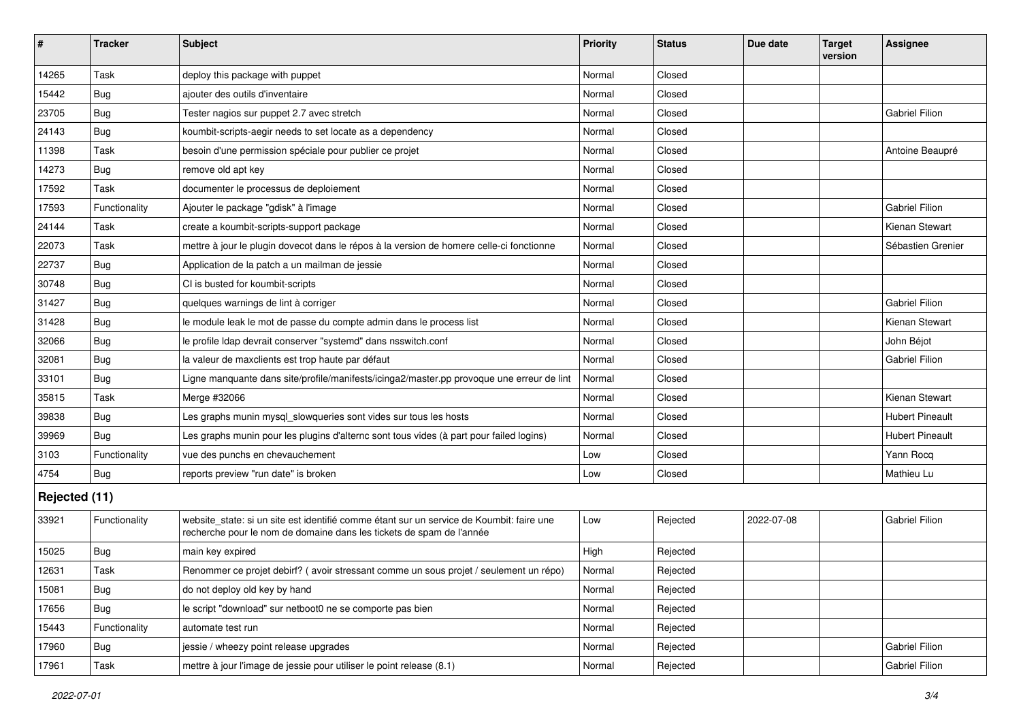| #             | <b>Tracker</b> | <b>Subject</b>                                                                                                                                                   | <b>Priority</b> | <b>Status</b> | Due date   | <b>Target</b><br>version | <b>Assignee</b>        |  |
|---------------|----------------|------------------------------------------------------------------------------------------------------------------------------------------------------------------|-----------------|---------------|------------|--------------------------|------------------------|--|
| 14265         | Task           | deploy this package with puppet                                                                                                                                  | Normal          | Closed        |            |                          |                        |  |
| 15442         | <b>Bug</b>     | ajouter des outils d'inventaire                                                                                                                                  | Normal          | Closed        |            |                          |                        |  |
| 23705         | <b>Bug</b>     | Tester nagios sur puppet 2.7 avec stretch                                                                                                                        | Normal          | Closed        |            |                          | <b>Gabriel Filion</b>  |  |
| 24143         | Bug            | koumbit-scripts-aegir needs to set locate as a dependency                                                                                                        | Normal          | Closed        |            |                          |                        |  |
| 11398         | Task           | besoin d'une permission spéciale pour publier ce projet                                                                                                          | Normal          | Closed        |            |                          | Antoine Beaupré        |  |
| 14273         | Bug            | remove old apt key                                                                                                                                               | Normal          | Closed        |            |                          |                        |  |
| 17592         | Task           | documenter le processus de deploiement                                                                                                                           | Normal          | Closed        |            |                          |                        |  |
| 17593         | Functionality  | Ajouter le package "gdisk" à l'image                                                                                                                             | Normal          | Closed        |            |                          | <b>Gabriel Filion</b>  |  |
| 24144         | Task           | create a koumbit-scripts-support package                                                                                                                         | Normal          | Closed        |            |                          | Kienan Stewart         |  |
| 22073         | Task           | mettre à jour le plugin dovecot dans le répos à la version de homere celle-ci fonctionne                                                                         | Normal          | Closed        |            |                          | Sébastien Grenier      |  |
| 22737         | Bug            | Application de la patch a un mailman de jessie                                                                                                                   | Normal          | Closed        |            |                          |                        |  |
| 30748         | <b>Bug</b>     | CI is busted for koumbit-scripts                                                                                                                                 | Normal          | Closed        |            |                          |                        |  |
| 31427         | <b>Bug</b>     | quelques warnings de lint à corriger                                                                                                                             | Normal          | Closed        |            |                          | <b>Gabriel Filion</b>  |  |
| 31428         | Bug            | le module leak le mot de passe du compte admin dans le process list                                                                                              | Normal          | Closed        |            |                          | Kienan Stewart         |  |
| 32066         | Bug            | le profile Idap devrait conserver "systemd" dans nsswitch.conf                                                                                                   | Normal          | Closed        |            |                          | John Béjot             |  |
| 32081         | <b>Bug</b>     | la valeur de maxclients est trop haute par défaut                                                                                                                | Normal          | Closed        |            |                          | <b>Gabriel Filion</b>  |  |
| 33101         | Bug            | Ligne manquante dans site/profile/manifests/icinga2/master.pp provoque une erreur de lint                                                                        | Normal          | Closed        |            |                          |                        |  |
| 35815         | Task           | Merge #32066                                                                                                                                                     | Normal          | Closed        |            |                          | Kienan Stewart         |  |
| 39838         | <b>Bug</b>     | Les graphs munin mysql_slowqueries sont vides sur tous les hosts                                                                                                 | Normal          | Closed        |            |                          | <b>Hubert Pineault</b> |  |
| 39969         | <b>Bug</b>     | Les graphs munin pour les plugins d'alternc sont tous vides (à part pour failed logins)                                                                          | Normal          | Closed        |            |                          | <b>Hubert Pineault</b> |  |
| 3103          | Functionality  | vue des punchs en chevauchement                                                                                                                                  | Low             | Closed        |            |                          | Yann Rocq              |  |
| 4754          | Bug            | reports preview "run date" is broken                                                                                                                             | Low             | Closed        |            |                          | Mathieu Lu             |  |
| Rejected (11) |                |                                                                                                                                                                  |                 |               |            |                          |                        |  |
| 33921         | Functionality  | website_state: si un site est identifié comme étant sur un service de Koumbit: faire une<br>recherche pour le nom de domaine dans les tickets de spam de l'année | Low             | Rejected      | 2022-07-08 |                          | <b>Gabriel Filion</b>  |  |
| 15025         | Bug            | main key expired                                                                                                                                                 | High            | Rejected      |            |                          |                        |  |
| 12631         | Task           | Renommer ce projet debirf? (avoir stressant comme un sous projet / seulement un répo)                                                                            | Normal          | Rejected      |            |                          |                        |  |
| 15081         | Bug            | do not deploy old key by hand                                                                                                                                    | Normal          | Rejected      |            |                          |                        |  |
| 17656         | Bug            | le script "download" sur netboot0 ne se comporte pas bien                                                                                                        | Normal          | Rejected      |            |                          |                        |  |
| 15443         | Functionality  | automate test run                                                                                                                                                | Normal          | Rejected      |            |                          |                        |  |
| 17960         | Bug            | jessie / wheezy point release upgrades                                                                                                                           | Normal          | Rejected      |            |                          | Gabriel Filion         |  |
| 17961         | Task           | mettre à jour l'image de jessie pour utiliser le point release (8.1)                                                                                             | Normal          | Rejected      |            |                          | Gabriel Filion         |  |